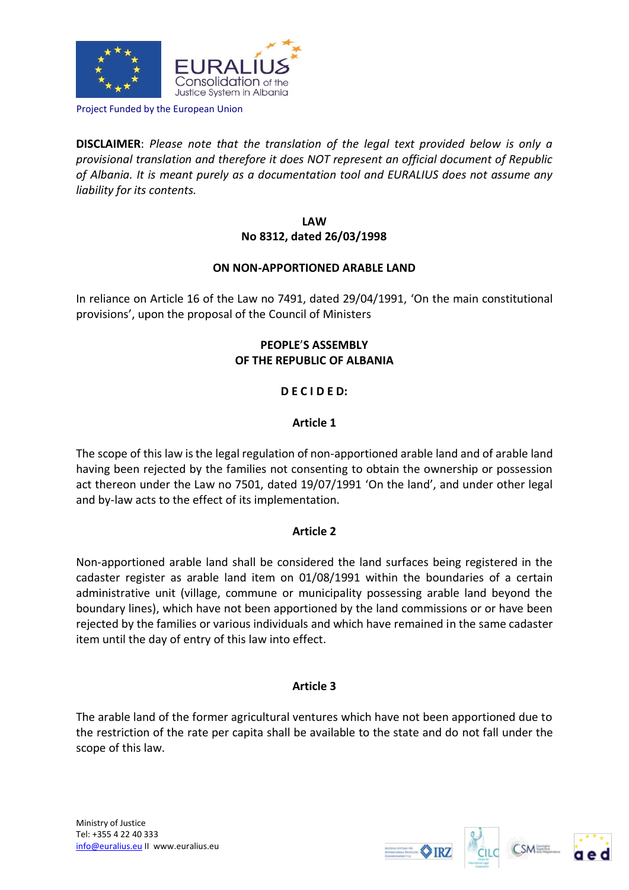

Project Funded by the European Union

**DISCLAIMER**: *Please note that the translation of the legal text provided below is only a provisional translation and therefore it does NOT represent an official document of Republic of Albania. It is meant purely as a documentation tool and EURALIUS does not assume any liability for its contents.*

> **LAW No 8312, dated 26/03/1998**

## **ON NON-APPORTIONED ARABLE LAND**

In reliance on Article 16 of the Law no 7491, dated 29/04/1991, 'On the main constitutional provisions', upon the proposal of the Council of Ministers

# **PEOPLE**'**S ASSEMBLY OF THE REPUBLIC OF ALBANIA**

# **D E C I D E D:**

## **Article 1**

The scope of this law is the legal regulation of non-apportioned arable land and of arable land having been rejected by the families not consenting to obtain the ownership or possession act thereon under the Law no 7501, dated 19/07/1991 'On the land', and under other legal and by-law acts to the effect of its implementation.

## **Article 2**

Non-apportioned arable land shall be considered the land surfaces being registered in the cadaster register as arable land item on 01/08/1991 within the boundaries of a certain administrative unit (village, commune or municipality possessing arable land beyond the boundary lines), which have not been apportioned by the land commissions or or have been rejected by the families or various individuals and which have remained in the same cadaster item until the day of entry of this law into effect.

## **Article 3**

The arable land of the former agricultural ventures which have not been apportioned due to the restriction of the rate per capita shall be available to the state and do not fall under the scope of this law.